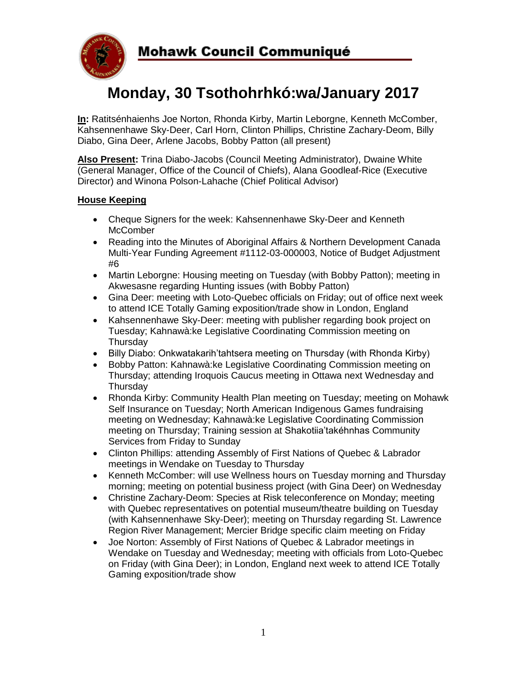

# **Monday, 30 Tsothohrhkó:wa/January 2017**

**In:** Ratitsénhaienhs Joe Norton, Rhonda Kirby, Martin Leborgne, Kenneth McComber, Kahsennenhawe Sky-Deer, Carl Horn, Clinton Phillips, Christine Zachary-Deom, Billy Diabo, Gina Deer, Arlene Jacobs, Bobby Patton (all present)

**Also Present:** Trina Diabo-Jacobs (Council Meeting Administrator), Dwaine White (General Manager, Office of the Council of Chiefs), Alana Goodleaf-Rice (Executive Director) and Winona Polson-Lahache (Chief Political Advisor)

#### **House Keeping**

- Cheque Signers for the week: Kahsennenhawe Sky-Deer and Kenneth **McComber**
- Reading into the Minutes of Aboriginal Affairs & Northern Development Canada Multi-Year Funding Agreement #1112-03-000003, Notice of Budget Adjustment #6
- Martin Leborgne: Housing meeting on Tuesday (with Bobby Patton); meeting in Akwesasne regarding Hunting issues (with Bobby Patton)
- Gina Deer: meeting with Loto-Quebec officials on Friday; out of office next week to attend ICE Totally Gaming exposition/trade show in London, England
- Kahsennenhawe Sky-Deer: meeting with publisher regarding book project on Tuesday; Kahnawà:ke Legislative Coordinating Commission meeting on **Thursdav**
- Billy Diabo: Onkwatakarih'tahtsera meeting on Thursday (with Rhonda Kirby)
- Bobby Patton: Kahnawà:ke Legislative Coordinating Commission meeting on Thursday; attending Iroquois Caucus meeting in Ottawa next Wednesday and **Thursday**
- Rhonda Kirby: Community Health Plan meeting on Tuesday; meeting on Mohawk Self Insurance on Tuesday; North American Indigenous Games fundraising meeting on Wednesday; Kahnawà:ke Legislative Coordinating Commission meeting on Thursday; Training session at Shakotiia'takéhnhas Community Services from Friday to Sunday
- Clinton Phillips: attending Assembly of First Nations of Quebec & Labrador meetings in Wendake on Tuesday to Thursday
- Kenneth McComber: will use Wellness hours on Tuesday morning and Thursday morning; meeting on potential business project (with Gina Deer) on Wednesday
- Christine Zachary-Deom: Species at Risk teleconference on Monday; meeting with Quebec representatives on potential museum/theatre building on Tuesday (with Kahsennenhawe Sky-Deer); meeting on Thursday regarding St. Lawrence Region River Management; Mercier Bridge specific claim meeting on Friday
- Joe Norton: Assembly of First Nations of Quebec & Labrador meetings in Wendake on Tuesday and Wednesday; meeting with officials from Loto-Quebec on Friday (with Gina Deer); in London, England next week to attend ICE Totally Gaming exposition/trade show